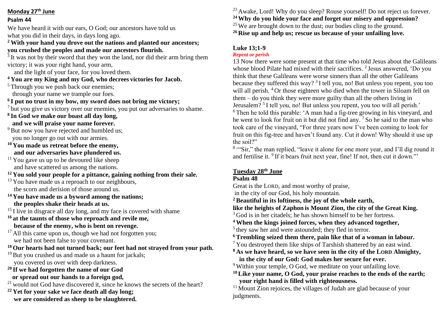#### **Monday 27th June**

#### **Psalm 44**

We have heard it with our ears, O God; our ancestors have told us what you did in their days, in days long ago.

#### **<sup>2</sup> With your hand you drove out the nations and planted our ancestors; you crushed the peoples and made our ancestors flourish.**

<sup>3</sup> It was not by their sword that they won the land, nor did their arm bring them victory; it was your right hand, your arm,

and the light of your face, for you loved them.

## **<sup>4</sup> You are my King and my God, who decrees victories for Jacob.**

<sup>5</sup> Through you we push back our enemies:

through your name we trample our foes.

## **6 I put no trust in my bow, my sword does not bring me victory;**

<sup>7</sup> but you give us victory over our enemies, you put our adversaries to shame.

**8 In God we make our boast all day long, and we will praise your name forever.**

- <sup>9</sup> But now you have rejected and humbled us; you no longer go out with our armies.
- **<sup>10</sup> You made us retreat before the enemy, and our adversaries have plundered us.**
- $11$  You gave us up to be devoured like sheep and have scattered us among the nations.

# **<sup>12</sup> You sold your people for a pittance, gaining nothing from their sale.**

- $13$  You have made us a reproach to our neighbours, the scorn and derision of those around us.
- **<sup>14</sup> You have made us a byword among the nations; the peoples shake their heads at us.**

 $15$  I live in disgrace all day long, and my face is covered with shame

**<sup>16</sup> at the taunts of those who reproach and revile me, because of the enemy, who is bent on revenge.**

<sup>17</sup> All this came upon us, though we had not forgotten you; we had not been false to your covenant.

**<sup>18</sup> Our hearts had not turned back; our feet had not strayed from your path.**

- <sup>19</sup> But you crushed us and made us a haunt for jackals; you covered us over with deep darkness.
- **<sup>20</sup> If we had forgotten the name of our God**
- **or spread out our hands to a foreign god,**

<sup>21</sup> would not God have discovered it, since he knows the secrets of the heart?

**<sup>22</sup> Yet for your sake we face death all day long; we are considered as sheep to be slaughtered.**  $^{23}$  Awake, Lord! Why do you sleep? Rouse yourself! Do not reject us forever. **Why do you hide your face and forget our misery and oppression?** We are brought down to the dust; our bodies cling to the ground. **Rise up and help us; rescue us because of your unfailing love.**

## **Luke 13;1-9**

## *Repent or perish*

13 Now there were some present at that time who told Jesus about the Galileans whose blood Pilate had mixed with their sacrifices. <sup>2</sup> Jesus answered, 'Do you think that these Galileans were worse sinners than all the other Galileans because they suffered this way?<sup>3</sup> I tell you, no! But unless you repent, you too will all perish. <sup>4</sup> Or those eighteen who died when the tower in Siloam fell on them – do you think they were more guilty than all the others living in Jerusalem?<sup>5</sup> I tell you, no! But unless you repent, you too will all perish.' <sup>6</sup> Then he told this parable: 'A man had a fig-tree growing in his vineyard, and he went to look for fruit on it but did not find any. <sup>7</sup> So he said to the man who took care of the vineyard, "For three years now I've been coming to look for fruit on this fig-tree and haven't found any. Cut it down! Why should it use up the soil?"

<sup>8</sup> "Sir," the man replied, "leave it alone for one more year, and I'll dig round it and fertilise it. <sup>9</sup> If it bears fruit next year, fine! If not, then cut it down."'

# **Tuesday 28th June**

## **Psalm 48**

Great is the LORD, and most worthy of praise,

in the city of our God, his holy mountain.

**<sup>2</sup> Beautiful in its loftiness, the joy of the whole earth,**

**like the heights of Zaphon is Mount Zion, the city of the Great King.**

 $3$  God is in her citadels; he has shown himself to be her fortress.

**<sup>4</sup> When the kings joined forces, when they advanced together,**

<sup>5</sup> they saw her and were astounded; they fled in terror.

- **<sup>6</sup> Trembling seized them there, pain like that of a woman in labour.**
- <sup>7</sup> You destroyed them like ships of Tarshish shattered by an east wind.
- **<sup>8</sup> As we have heard, so we have seen in the city of the LORD Almighty, in the city of our God: God makes her secure for ever.**

<sup>9</sup> Within your temple, O God, we meditate on your unfailing love.

**<sup>10</sup>Like your name, O God, your praise reaches to the ends of the earth; your right hand is filled with righteousness.**

 $11$  Mount Zion rejoices, the villages of Judah are glad because of your judgments.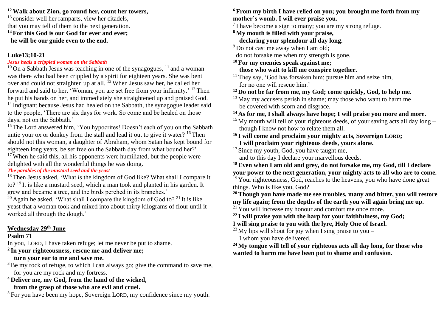#### **<sup>12</sup>Walk about Zion, go round her, count her towers,**

<sup>13</sup> consider well her ramparts, view her citadels, that you may tell of them to the next generation. **<sup>14</sup> For this God is our God for ever and ever; he will be our guide even to the end.**

#### **Luke13;10-21**

#### *Jesus heals a crippled woman on the Sabbath*

 $10$  On a Sabbath Jesus was teaching in one of the synagogues,  $11$  and a woman was there who had been crippled by a spirit for eighteen years. She was bent over and could not straighten up at all.  $^{12}$  When Jesus saw her, he called her forward and said to her, 'Woman, you are set free from your infirmity.' <sup>13</sup> Then he put his hands on her, and immediately she straightened up and praised God. <sup>14</sup> Indignant because Jesus had healed on the Sabbath, the synagogue leader said

to the people, 'There are six days for work. So come and be healed on those days, not on the Sabbath.'

<sup>15</sup> The Lord answered him, 'You hypocrites! Doesn't each of you on the Sabbath untie your ox or donkey from the stall and lead it out to give it water? <sup>16</sup> Then should not this woman, a daughter of Abraham, whom Satan has kept bound for eighteen long years, be set free on the Sabbath day from what bound her?'  $17$  When he said this, all his opponents were humiliated, but the people were delighted with all the wonderful things he was doing.

#### *The parables of the mustard seed and the yeast*

<sup>18</sup> Then Jesus asked, 'What is the kingdom of God like? What shall I compare it to? <sup>19</sup> It is like a mustard seed, which a man took and planted in his garden. It grew and became a tree, and the birds perched in its branches.'

 $^{20}$  Again he asked, 'What shall I compare the kingdom of God to? <sup>21</sup> It is like yeast that a woman took and mixed into about thirty kilograms of flour until it worked all through the dough.'

## **Wednesday 29th June**

#### **Psalm 71**

In you, LORD, I have taken refuge; let me never be put to shame.

**2 In your righteousness, rescue me and deliver me;**

## **turn your ear to me and save me.**

<sup>3</sup> Be my rock of refuge, to which I can always go; give the command to save me, for you are my rock and my fortress.

**<sup>4</sup> Deliver me, my God, from the hand of the wicked, from the grasp of those who are evil and cruel.**

<sup>5</sup> For you have been my hope, Sovereign LORD, my confidence since my youth.

#### **<sup>6</sup> From my birth I have relied on you; you brought me forth from my mother's womb. I will ever praise you.**

 $7$  I have become a sign to many; you are my strong refuge.

**<sup>8</sup> My mouth is filled with your praise, declaring your splendour all day long.**

<sup>9</sup> Do not cast me away when I am old;

do not forsake me when my strength is gone.

**<sup>10</sup> For my enemies speak against me; those who wait to kill me conspire together.**

 $11$  They say, 'God has forsaken him; pursue him and seize him, for no one will rescue him.'

## **<sup>12</sup> Do not be far from me, my God; come quickly, God, to help me.**

 $13$  May my accusers perish in shame; may those who want to harm me be covered with scorn and disgrace.

**<sup>14</sup> As for me, I shall always have hope; I will praise you more and more.**

 $15$  My mouth will tell of your righteous deeds, of your saving acts all day long – though I know not how to relate them all.

#### **<sup>16</sup> I will come and proclaim your mighty acts, Sovereign LORD; I will proclaim your righteous deeds, yours alone.**

<sup>17</sup> Since my youth, God, you have taught me,

and to this day I declare your marvellous deeds.

**<sup>18</sup>Even when I am old and grey, do not forsake me, my God, till I declare your power to the next generation, your mighty acts to all who are to come.**

<sup>19</sup> Your righteousness, God, reaches to the heavens, you who have done great things. Who is like you, God?

**<sup>20</sup>Though you have made me see troubles, many and bitter, you will restore my life again; from the depths of the earth you will again bring me up.**

 $21$  You will increase my honour and comfort me once more.

**<sup>22</sup> I will praise you with the harp for your faithfulness, my God;**

**I will sing praise to you with the lyre, Holy One of Israel.**

<sup>23</sup> My lips will shout for joy when I sing praise to you – I whom you have delivered.

**<sup>24</sup> My tongue will tell of your righteous acts all day long, for those who wanted to harm me have been put to shame and confusion.**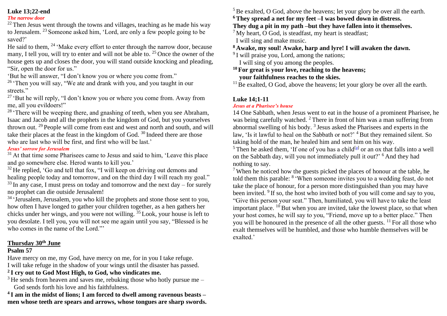#### **Luke 13;22-end**

#### *The narrow door*

 $22$  Then Jesus went through the towns and villages, teaching as he made his way to Jerusalem. <sup>23</sup> Someone asked him, 'Lord, are only a few people going to be saved?'

He said to them, <sup>24</sup> 'Make every effort to enter through the narrow door, because many, I tell you, will try to enter and will not be able to. <sup>25</sup> Once the owner of the house gets up and closes the door, you will stand outside knocking and pleading, "Sir, open the door for us."

'But he will answer, "I don't know you or where you come from."

 $26$  'Then you will say, "We ate and drank with you, and you taught in our streets."

 $27$  'But he will reply, "I don't know you or where you come from. Away from me, all you evildoers!"

 $28$  'There will be weeping there, and gnashing of teeth, when you see Abraham, Isaac and Jacob and all the prophets in the kingdom of God, but you yourselves thrown out. <sup>29</sup> People will come from east and west and north and south, and will take their places at the feast in the kingdom of God. <sup>30</sup> Indeed there are those who are last who will be first, and first who will be last.'

#### *Jesus' sorrow for Jerusalem*

 $31$  At that time some Pharisees came to Jesus and said to him, 'Leave this place and go somewhere else. Herod wants to kill you.'

 $32$  He replied, 'Go and tell that fox, "I will keep on driving out demons and healing people today and tomorrow, and on the third day I will reach my goal."

 $33$  In any case, I must press on today and tomorrow and the next day – for surely no prophet can die outside Jerusalem!

<sup>34</sup> 'Jerusalem, Jerusalem, you who kill the prophets and stone those sent to you, how often I have longed to gather your children together, as a hen gathers her chicks under her wings, and you were not willing.  $35$  Look, your house is left to you desolate. I tell you, you will not see me again until you say, "Blessed is he who comes in the name of the Lord."'

#### **Thursday 30th June**

#### **Psalm 57**

Have mercy on me, my God, have mercy on me, for in you I take refuge. I will take refuge in the shadow of your wings until the disaster has passed.

# **2 I cry out to God Most High, to God, who vindicates me.**

 $3$  He sends from heaven and saves me, rebuking those who hotly pursue me – God sends forth his love and his faithfulness.

**4 I am in the midst of lions; I am forced to dwell among ravenous beasts – men whose teeth are spears and arrows, whose tongues are sharp swords.**  $<sup>5</sup>$  Be exalted, O God, above the heavens; let your glory be over all the earth.</sup>

# **<sup>6</sup> They spread a net for my feet –I was bowed down in distress.**

**They dug a pit in my path –but they have fallen into it themselves.**

 $<sup>7</sup>$  My heart, O God, is steadfast, my heart is steadfast;</sup>

I will sing and make music.

**<sup>8</sup> Awake, my soul! Awake, harp and lyre! I will awaken the dawn.**

<sup>9</sup> I will praise you, Lord, among the nations; I will sing of you among the peoples.

**<sup>10</sup> For great is your love, reaching to the heavens; your faithfulness reaches to the skies.**

 $11$  Be exalted, O God, above the heavens; let your glory be over all the earth.

## **Luke 14;1-11**

### *Jesus at a Pharisee's house*

14 One Sabbath, when Jesus went to eat in the house of a prominent Pharisee, he was being carefully watched. <sup>2</sup> There in front of him was a man suffering from abnormal swelling of his body.<sup>3</sup> Jesus asked the Pharisees and experts in the law, 'Is it lawful to heal on the Sabbath or not?' <sup>4</sup> But they remained silent. So taking hold of the man, he healed him and sent him on his way.

<sup>5</sup> Then he asked them, 'If one of you has a child<sup>[a]</sup> or an ox that falls into a well on the Sabbath day, will you not immediately pull it out?' <sup>6</sup> And they had nothing to say.

<sup>7</sup> When he noticed how the guests picked the places of honour at the table, he told them this parable: <sup>8</sup> 'When someone invites you to a wedding feast, do not take the place of honour, for a person more distinguished than you may have been invited. <sup>9</sup> If so, the host who invited both of you will come and say to you, "Give this person your seat." Then, humiliated, you will have to take the least important place.  $^{10}$  But when you are invited, take the lowest place, so that when your host comes, he will say to you, "Friend, move up to a better place." Then you will be honoured in the presence of all the other guests. <sup>11</sup> For all those who exalt themselves will be humbled, and those who humble themselves will be exalted.'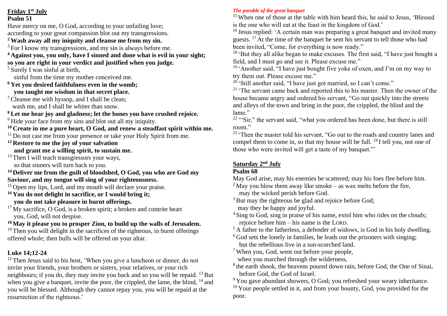**Friday 1st July Psalm 51**

Have mercy on me, O God, according to your unfailing love; according to your great compassion blot out my transgressions.

## **<sup>2</sup> Wash away all my iniquity and cleanse me from my sin.**

<sup>3</sup> For I know my transgressions, and my sin is always before me.

**<sup>4</sup> Against you, you only, have I sinned and done what is evil in your sight; so you are right in your verdict and justified when you judge.**

<sup>5</sup> Surely I was sinful at birth,

sinful from the time my mother conceived me.

**<sup>6</sup> Yet you desired faithfulness even in the womb;**

 **you taught me wisdom in that secret place.**

<sup>7</sup> Cleanse me with hyssop, and I shall be clean; wash me, and I shall be whiter than snow.

**<sup>8</sup> Let me hear joy and gladness; let the bones you have crushed rejoice.**

<sup>9</sup> Hide your face from my sins and blot out all my iniquity.

**<sup>10</sup> Create in me a pure heart, O God, and renew a steadfast spirit within me.**

- <sup>11</sup> Do not cast me from your presence or take your Holy Spirit from me.
- **<sup>12</sup> Restore to me the joy of your salvation**

 **and grant me a willing spirit, to sustain me.**

<sup>13</sup> Then I will teach transgressors your ways, so that sinners will turn back to you.

**<sup>14</sup> Deliver me from the guilt of bloodshed, O God, you who are God my Saviour, and my tongue will sing of your righteousness.**

<sup>15</sup> Open my lips, Lord, and my mouth will declare your praise.

**<sup>16</sup> You do not delight in sacrifice, or I would bring it; you do not take pleasure in burnt offerings.**

 $17$  My sacrifice, O God, is a broken spirit; a broken and contrite heart you, God, will not despise.

**<sup>18</sup> May it please you to prosper Zion, to build up the walls of Jerusalem.**  $19$  Then you will delight in the sacrifices of the righteous, in burnt offerings offered whole; then bulls will be offered on your altar.

# **Luke 14;12-24**

 $12$  Then Jesus said to his host, 'When you give a luncheon or dinner, do not invite your friends, your brothers or sisters, your relatives, or your rich neighbours; if you do, they may invite you back and so you will be repaid.  $^{13}$  But when you give a banquet, invite the poor, the crippled, the lame, the blind, <sup>14</sup> and you will be blessed. Although they cannot repay you, you will be repaid at the resurrection of the righteous.'

## *The parable of the great banquet*

<sup>15</sup> When one of those at the table with him heard this, he said to Jesus, 'Blessed is the one who will eat at the feast in the kingdom of God.'

<sup>16</sup> Jesus replied: 'A certain man was preparing a great banquet and invited many guests. <sup>17</sup> At the time of the banquet he sent his servant to tell those who had been invited, "Come, for everything is now ready."

<sup>18</sup> 'But they all alike began to make excuses. The first said, "I have just bought a field, and I must go and see it. Please excuse me."

 $19$  'Another said, "I have just bought five yoke of oxen, and I'm on my way to try them out. Please excuse me."

 $20$  'Still another said, "I have just got married, so I can't come."

<sup>21</sup> 'The servant came back and reported this to his master. Then the owner of the house became angry and ordered his servant, "Go out quickly into the streets and alleys of the town and bring in the poor, the crippled, the blind and the lame"

 $22$  "Sir," the servant said, "what you ordered has been done, but there is still room."

<sup>23</sup> 'Then the master told his servant, "Go out to the roads and country lanes and compel them to come in, so that my house will be full.  $^{24}$  I tell you, not one of those who were invited will get a taste of my banquet."'

## **Saturday 2nd July**

# **Psalm 68**

May God arise, may his enemies be scattered; may his foes flee before him.

- <sup>2</sup> May you blow them away like smoke as wax melts before the fire, may the wicked perish before God.
- <sup>3</sup> But may the righteous be glad and rejoice before God; may they be happy and joyful.
- <sup>4</sup> Sing to God, sing in praise of his name, extol him who rides on the clouds; rejoice before him – his name is the LORD.
- $5$  A father to the fatherless, a defender of widows, is God in his holy dwelling.
- $6$  God sets the lonely in families, he leads out the prisoners with singing; but the rebellious live in a sun-scorched land.
- <sup>7</sup> When you, God, went out before your people, when you marched through the wilderness,
- <sup>8</sup> the earth shook, the heavens poured down rain, before God, the One of Sinai, before God, the God of Israel.

<sup>9</sup> You gave abundant showers, O God; you refreshed your weary inheritance.  $10$  Your people settled in it, and from your bounty, God, you provided for the poor.